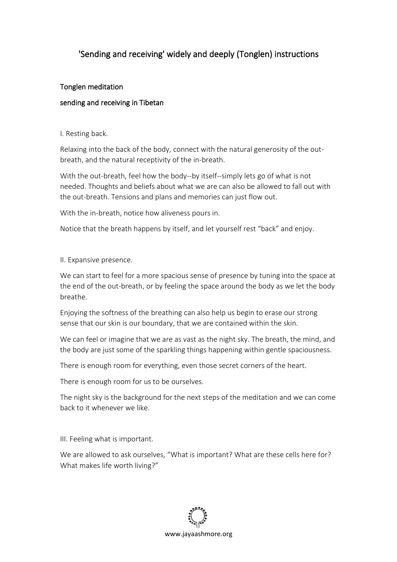# 'Sending and receiving' widely and deeply (Tonglen) instructions

# Tonglen meditation

# sending and receiving in Tibetan

#### I. Resting back.

Relaxing into the back of the body, connect with the natural generosity of the outbreath, and the natural receptivity of the in-breath.

With the out-breath, feel how the body--by itself--simply lets go of what is not needed. Thoughts and beliefs about what we are can also be allowed to fall out with the out-breath. Tensions and plans and memories can just flow out.

With the in-breath, notice how aliveness pours in.

Notice that the breath happens by itself, and let yourself rest "back" and enjoy.

#### II. Expansive presence.

We can start to feel for a more spacious sense of presence by tuning into the space at the end of the out-breath, or by feeling the space around the body as we let the body breathe.

Enjoying the softness of the breathing can also help us begin to erase our strong sense that our skin is our boundary, that we are contained within the skin.

We can feel or imagine that we are as vast as the night sky. The breath, the mind, and the body are just some of the sparkling things happening within gentle spaciousness.

There is enough room for everything, even those secret corners of the heart.

There is enough room for us to be ourselves.

The night sky is the background for the next steps of the meditation and we can come back to it whenever we like.

III. Feeling what is important.

We are allowed to ask ourselves, "What is important? What are these cells here for? What makes life worth living?"

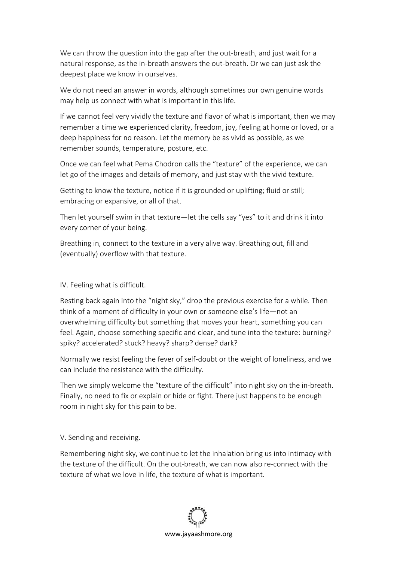We can throw the question into the gap after the out-breath, and just wait for a natural response, as the in-breath answers the out-breath. Or we can just ask the deepest place we know in ourselves.

We do not need an answer in words, although sometimes our own genuine words may help us connect with what is important in this life.

If we cannot feel very vividly the texture and flavor of what is important, then we may remember a time we experienced clarity, freedom, joy, feeling at home or loved, or a deep happiness for no reason. Let the memory be as vivid as possible, as we remember sounds, temperature, posture, etc.

Once we can feel what Pema Chodron calls the "texture" of the experience, we can let go of the images and details of memory, and just stay with the vivid texture.

Getting to know the texture, notice if it is grounded or uplifting; fluid or still; embracing or expansive, or all of that.

Then let yourself swim in that texture—let the cells say "yes" to it and drink it into every corner of your being.

Breathing in, connect to the texture in a very alive way. Breathing out, fill and (eventually) overflow with that texture.

### IV. Feeling what is difficult.

Resting back again into the "night sky," drop the previous exercise for a while. Then think of a moment of difficulty in your own or someone else's life—not an overwhelming difficulty but something that moves your heart, something you can feel. Again, choose something specific and clear, and tune into the texture: burning? spiky? accelerated? stuck? heavy? sharp? dense? dark?

Normally we resist feeling the fever of self-doubt or the weight of loneliness, and we can include the resistance with the difficulty.

Then we simply welcome the "texture of the difficult" into night sky on the in-breath. Finally, no need to fix or explain or hide or fight. There just happens to be enough room in night sky for this pain to be.

#### V. Sending and receiving.

Remembering night sky, we continue to let the inhalation bring us into intimacy with the texture of the difficult. On the out-breath, we can now also re-connect with the texture of what we love in life, the texture of what is important.